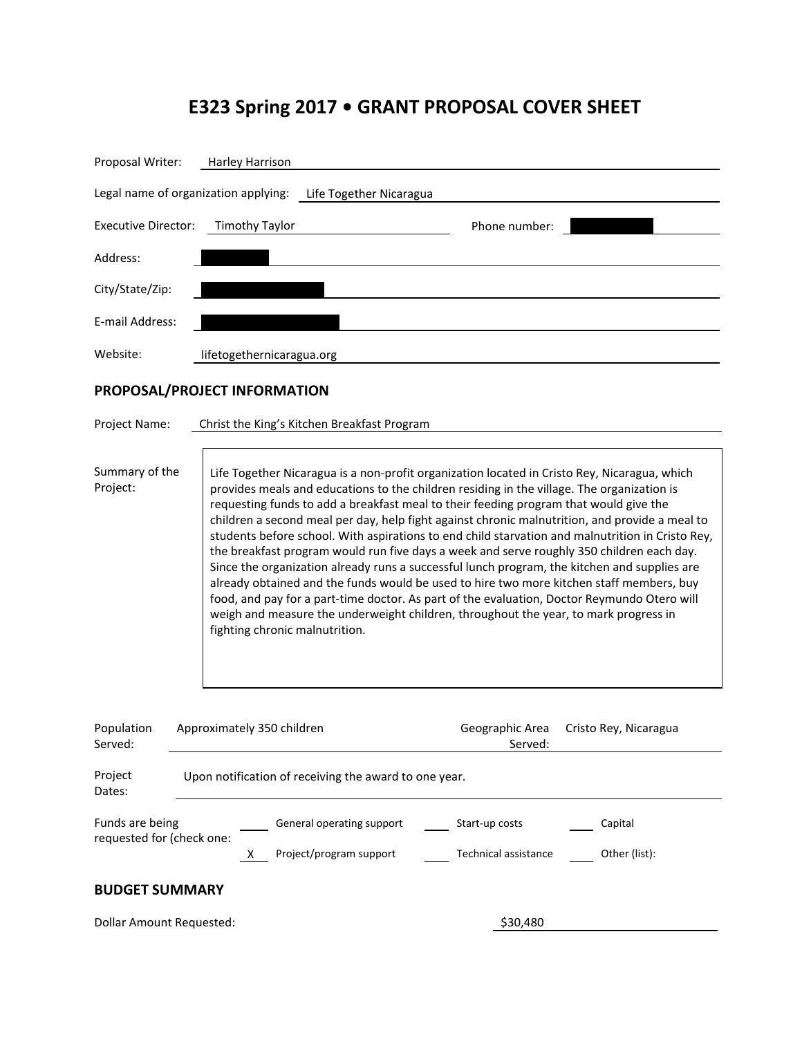# **E323 Spring 2017 • GRANT PROPOSAL COVER SHEET**

| Proposal Writer:                                                                                       | Harley Harrison                                       |                                             |                                                                                                                                                                                                                                                                                                                                                                                                                                                                                                                                                                         |                                                                                                                                                                                                                                                                                                                                                                                                |  |
|--------------------------------------------------------------------------------------------------------|-------------------------------------------------------|---------------------------------------------|-------------------------------------------------------------------------------------------------------------------------------------------------------------------------------------------------------------------------------------------------------------------------------------------------------------------------------------------------------------------------------------------------------------------------------------------------------------------------------------------------------------------------------------------------------------------------|------------------------------------------------------------------------------------------------------------------------------------------------------------------------------------------------------------------------------------------------------------------------------------------------------------------------------------------------------------------------------------------------|--|
| Legal name of organization applying:                                                                   |                                                       | Life Together Nicaragua                     |                                                                                                                                                                                                                                                                                                                                                                                                                                                                                                                                                                         |                                                                                                                                                                                                                                                                                                                                                                                                |  |
| <b>Executive Director:</b>                                                                             | <b>Timothy Taylor</b>                                 |                                             | Phone number:                                                                                                                                                                                                                                                                                                                                                                                                                                                                                                                                                           |                                                                                                                                                                                                                                                                                                                                                                                                |  |
| Address:                                                                                               |                                                       |                                             |                                                                                                                                                                                                                                                                                                                                                                                                                                                                                                                                                                         |                                                                                                                                                                                                                                                                                                                                                                                                |  |
| City/State/Zip:                                                                                        |                                                       |                                             |                                                                                                                                                                                                                                                                                                                                                                                                                                                                                                                                                                         |                                                                                                                                                                                                                                                                                                                                                                                                |  |
| E-mail Address:                                                                                        |                                                       |                                             |                                                                                                                                                                                                                                                                                                                                                                                                                                                                                                                                                                         |                                                                                                                                                                                                                                                                                                                                                                                                |  |
| Website:                                                                                               | lifetogethernicaragua.org                             |                                             |                                                                                                                                                                                                                                                                                                                                                                                                                                                                                                                                                                         |                                                                                                                                                                                                                                                                                                                                                                                                |  |
|                                                                                                        | PROPOSAL/PROJECT INFORMATION                          |                                             |                                                                                                                                                                                                                                                                                                                                                                                                                                                                                                                                                                         |                                                                                                                                                                                                                                                                                                                                                                                                |  |
| Project Name:                                                                                          |                                                       | Christ the King's Kitchen Breakfast Program |                                                                                                                                                                                                                                                                                                                                                                                                                                                                                                                                                                         |                                                                                                                                                                                                                                                                                                                                                                                                |  |
| Summary of the<br>Project:                                                                             | fighting chronic malnutrition.                        |                                             | Life Together Nicaragua is a non-profit organization located in Cristo Rey, Nicaragua, which<br>provides meals and educations to the children residing in the village. The organization is<br>requesting funds to add a breakfast meal to their feeding program that would give the<br>the breakfast program would run five days a week and serve roughly 350 children each day.<br>food, and pay for a part-time doctor. As part of the evaluation, Doctor Reymundo Otero will<br>weigh and measure the underweight children, throughout the year, to mark progress in | children a second meal per day, help fight against chronic malnutrition, and provide a meal to<br>students before school. With aspirations to end child starvation and malnutrition in Cristo Rey,<br>Since the organization already runs a successful lunch program, the kitchen and supplies are<br>already obtained and the funds would be used to hire two more kitchen staff members, buy |  |
| Population<br>Served:                                                                                  | Approximately 350 children                            |                                             | Geographic Area<br>Served:                                                                                                                                                                                                                                                                                                                                                                                                                                                                                                                                              | Cristo Rey, Nicaragua                                                                                                                                                                                                                                                                                                                                                                          |  |
| Project<br>Dates:                                                                                      | Upon notification of receiving the award to one year. |                                             |                                                                                                                                                                                                                                                                                                                                                                                                                                                                                                                                                                         |                                                                                                                                                                                                                                                                                                                                                                                                |  |
| Funds are being<br>General operating support<br>Start-up costs<br>Capital<br>requested for (check one: |                                                       |                                             |                                                                                                                                                                                                                                                                                                                                                                                                                                                                                                                                                                         |                                                                                                                                                                                                                                                                                                                                                                                                |  |
|                                                                                                        | X.                                                    | Project/program support                     | Technical assistance                                                                                                                                                                                                                                                                                                                                                                                                                                                                                                                                                    | Other (list):                                                                                                                                                                                                                                                                                                                                                                                  |  |
| <b>BUDGET SUMMARY</b>                                                                                  |                                                       |                                             |                                                                                                                                                                                                                                                                                                                                                                                                                                                                                                                                                                         |                                                                                                                                                                                                                                                                                                                                                                                                |  |
| <b>Dollar Amount Requested:</b>                                                                        |                                                       | \$30,480                                    |                                                                                                                                                                                                                                                                                                                                                                                                                                                                                                                                                                         |                                                                                                                                                                                                                                                                                                                                                                                                |  |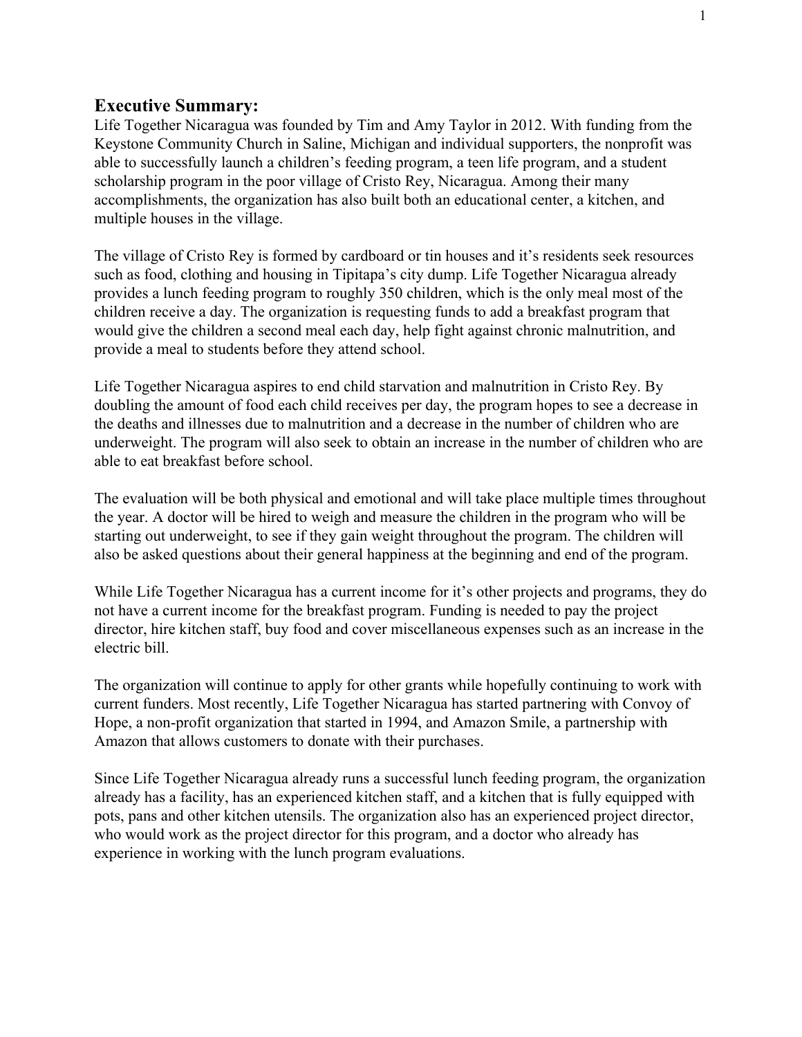### **Executive Summary:**

Life Together Nicaragua was founded by Tim and Amy Taylor in 2012. With funding from the Keystone Community Church in Saline, Michigan and individual supporters, the nonprofit was able to successfully launch a children's feeding program, a teen life program, and a student scholarship program in the poor village of Cristo Rey, Nicaragua. Among their many accomplishments, the organization has also built both an educational center, a kitchen, and multiple houses in the village.

The village of Cristo Rey is formed by cardboard or tin houses and it's residents seek resources such as food, clothing and housing in Tipitapa's city dump. Life Together Nicaragua already provides a lunch feeding program to roughly 350 children, which is the only meal most of the children receive a day. The organization is requesting funds to add a breakfast program that would give the children a second meal each day, help fight against chronic malnutrition, and provide a meal to students before they attend school.

Life Together Nicaragua aspires to end child starvation and malnutrition in Cristo Rey. By doubling the amount of food each child receives per day, the program hopes to see a decrease in the deaths and illnesses due to malnutrition and a decrease in the number of children who are underweight. The program will also seek to obtain an increase in the number of children who are able to eat breakfast before school.

The evaluation will be both physical and emotional and will take place multiple times throughout the year. A doctor will be hired to weigh and measure the children in the program who will be starting out underweight, to see if they gain weight throughout the program. The children will also be asked questions about their general happiness at the beginning and end of the program.

While Life Together Nicaragua has a current income for it's other projects and programs, they do not have a current income for the breakfast program. Funding is needed to pay the project director, hire kitchen staff, buy food and cover miscellaneous expenses such as an increase in the electric bill.

The organization will continue to apply for other grants while hopefully continuing to work with current funders. Most recently, Life Together Nicaragua has started partnering with Convoy of Hope, a non-profit organization that started in 1994, and Amazon Smile, a partnership with Amazon that allows customers to donate with their purchases.

Since Life Together Nicaragua already runs a successful lunch feeding program, the organization already has a facility, has an experienced kitchen staff, and a kitchen that is fully equipped with pots, pans and other kitchen utensils. The organization also has an experienced project director, who would work as the project director for this program, and a doctor who already has experience in working with the lunch program evaluations.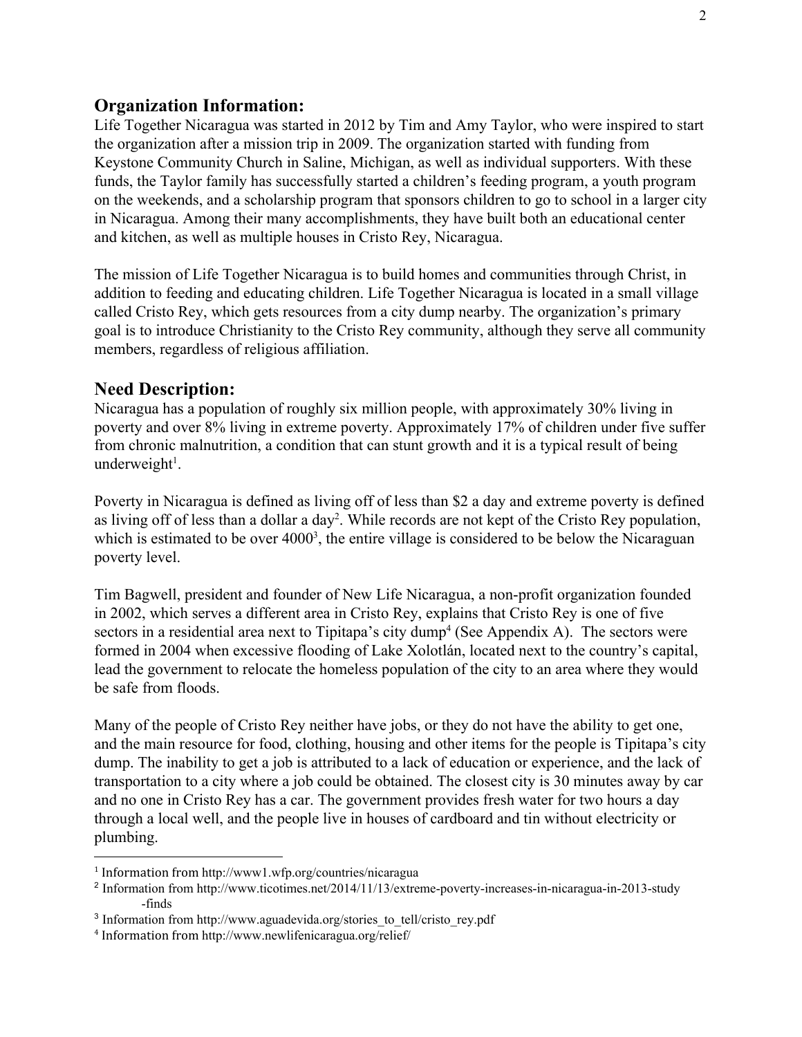#### **Organization Information:**

Life Together Nicaragua was started in 2012 by Tim and Amy Taylor, who were inspired to start the organization after a mission trip in 2009. The organization started with funding from Keystone Community Church in Saline, Michigan, as well as individual supporters. With these funds, the Taylor family has successfully started a children's feeding program, a youth program on the weekends, and a scholarship program that sponsors children to go to school in a larger city in Nicaragua. Among their many accomplishments, they have built both an educational center and kitchen, as well as multiple houses in Cristo Rey, Nicaragua.

The mission of Life Together Nicaragua is to build homes and communities through Christ, in addition to feeding and educating children. Life Together Nicaragua is located in a small village called Cristo Rey, which gets resources from a city dump nearby. The organization's primary goal is to introduce Christianity to the Cristo Rey community, although they serve all community members, regardless of religious affiliation.

#### **Need Description:**

Nicaragua has a population of roughly six million people, with approximately 30% living in poverty and over 8% living in extreme poverty. Approximately 17% of children under five suffer from chronic malnutrition, a condition that can stunt growth and it is a typical result of being underweight<sup>1</sup>.

Poverty in Nicaragua is defined as living off of less than \$2 a day and extreme poverty is defined as living off of less than a dollar a day<sup>2</sup>. While records are not kept of the Cristo Rey population, which is estimated to be over  $4000<sup>3</sup>$ , the entire village is considered to be below the Nicaraguan poverty level.

Tim Bagwell, president and founder of New Life Nicaragua, a non-profit organization founded in 2002, which serves a different area in Cristo Rey, explains that Cristo Rey is one of five sectors in a residential area next to Tipitapa's city dump<sup>4</sup> (See Appendix A). The sectors were formed in 2004 when excessive flooding of Lake Xolotlán, located next to the country's capital, lead the government to relocate the homeless population of the city to an area where they would be safe from floods.

Many of the people of Cristo Rey neither have jobs, or they do not have the ability to get one, and the main resource for food, clothing, housing and other items for the people is Tipitapa's city dump. The inability to get a job is attributed to a lack of education or experience, and the lack of transportation to a city where a job could be obtained. The closest city is 30 minutes away by car and no one in Cristo Rey has a car. The government provides fresh water for two hours a day through a local well, and the people live in houses of cardboard and tin without electricity or plumbing.

<sup>1</sup> Information from http://www1.wfp.org/countries/nicaragua

<sup>&</sup>lt;sup>2</sup> Information from http://www.ticotimes.net/2014/11/13/extreme-poverty-increases-in-nicaragua-in-2013-study -finds

<sup>&</sup>lt;sup>3</sup> Information from http://www.aguadevida.org/stories\_to\_tell/cristo\_rey.pdf

<sup>4</sup> Information from http://www.newlifenicaragua.org/relief/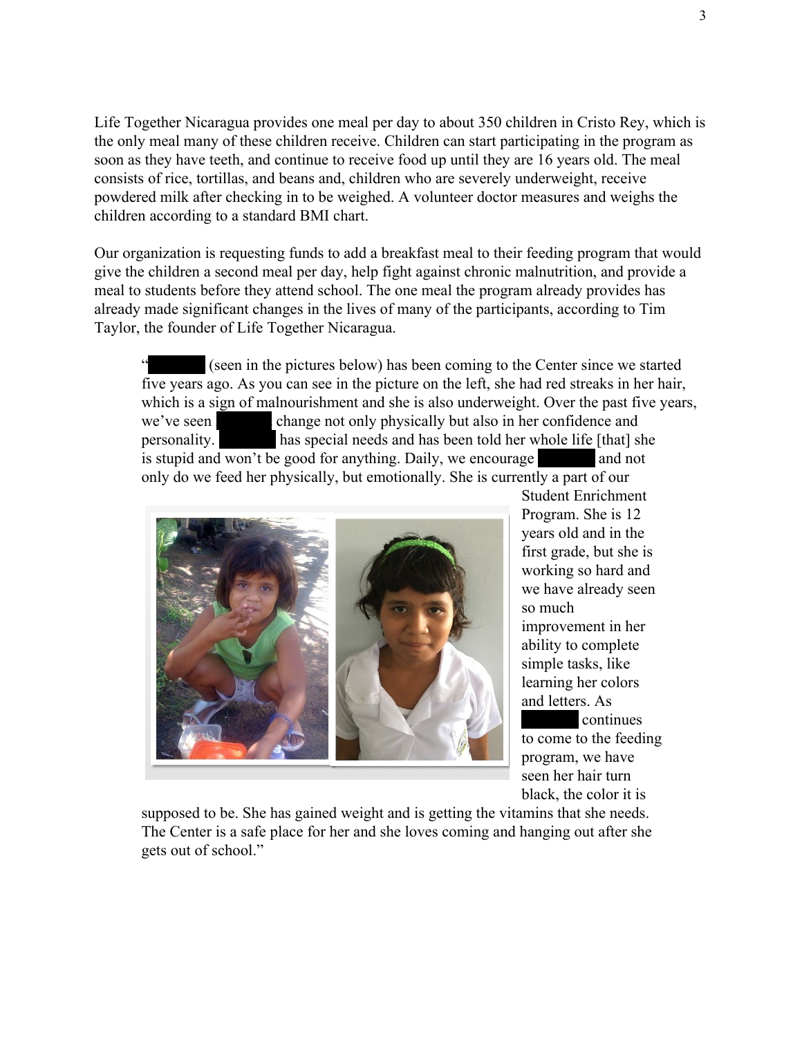Life Together Nicaragua provides one meal per day to about 350 children in Cristo Rey, which is the only meal many of these children receive. Children can start participating in the program as soon as they have teeth, and continue to receive food up until they are 16 years old. The meal consists of rice, tortillas, and beans and, children who are severely underweight, receive powdered milk after checking in to be weighed. A volunteer doctor measures and weighs the children according to a standard BMI chart.

Our organization is requesting funds to add a breakfast meal to their feeding program that would give the children a second meal per day, help fight against chronic malnutrition, and provide a meal to students before they attend school. The one meal the program already provides has already made significant changes in the lives of many of the participants, according to Tim Taylor, the founder of Life Together Nicaragua.

(seen in the pictures below) has been coming to the Center since we started five years ago. As you can see in the picture on the left, she had red streaks in her hair, which is a sign of malnourishment and she is also underweight. Over the past five years, we've seen change not only physically but also in her confidence and personality. has special needs and has been told her whole life [that] she is stupid and won't be good for anything. Daily, we encourage and not only do we feed her physically, but emotionally. She is currently a part of our



Student Enrichment Program. She is 12 years old and in the first grade, but she is working so hard and we have already seen so much improvement in her ability to complete simple tasks, like learning her colors and letters. As continues

to come to the feeding program, we have seen her hair turn black, the color it is

supposed to be. She has gained weight and is getting the vitamins that she needs. The Center is a safe place for her and she loves coming and hanging out after she gets out of school."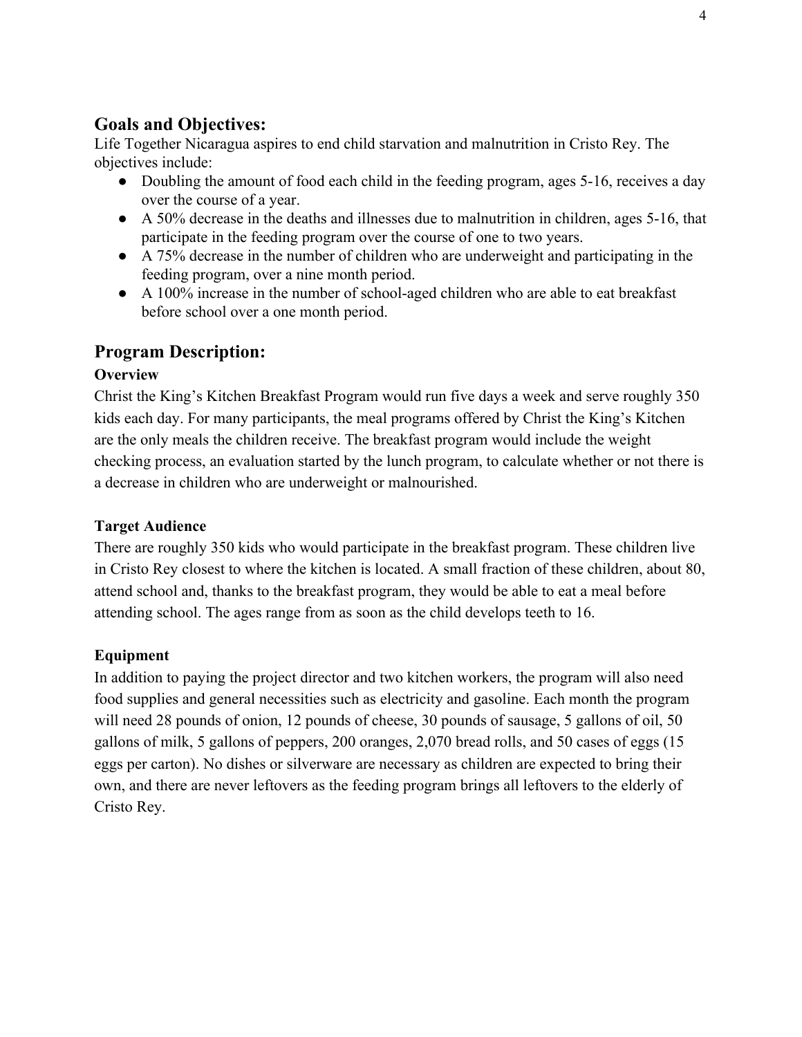# **Goals and Objectives:**

Life Together Nicaragua aspires to end child starvation and malnutrition in Cristo Rey. The objectives include:

- Doubling the amount of food each child in the feeding program, ages 5-16, receives a day over the course of a year.
- A 50% decrease in the deaths and illnesses due to malnutrition in children, ages 5-16, that participate in the feeding program over the course of one to two years.
- A 75% decrease in the number of children who are underweight and participating in the feeding program, over a nine month period.
- A 100% increase in the number of school-aged children who are able to eat breakfast before school over a one month period.

# **Program Description:**

### **Overview**

Christ the King's Kitchen Breakfast Program would run five days a week and serve roughly 350 kids each day. For many participants, the meal programs offered by Christ the King's Kitchen are the only meals the children receive. The breakfast program would include the weight checking process, an evaluation started by the lunch program, to calculate whether or not there is a decrease in children who are underweight or malnourished.

### **Target Audience**

There are roughly 350 kids who would participate in the breakfast program. These children live in Cristo Rey closest to where the kitchen is located. A small fraction of these children, about 80, attend school and, thanks to the breakfast program, they would be able to eat a meal before attending school. The ages range from as soon as the child develops teeth to 16.

## **Equipment**

In addition to paying the project director and two kitchen workers, the program will also need food supplies and general necessities such as electricity and gasoline. Each month the program will need 28 pounds of onion, 12 pounds of cheese, 30 pounds of sausage, 5 gallons of oil, 50 gallons of milk, 5 gallons of peppers, 200 oranges, 2,070 bread rolls, and 50 cases of eggs (15 eggs per carton). No dishes or silverware are necessary as children are expected to bring their own, and there are never leftovers as the feeding program brings all leftovers to the elderly of Cristo Rey.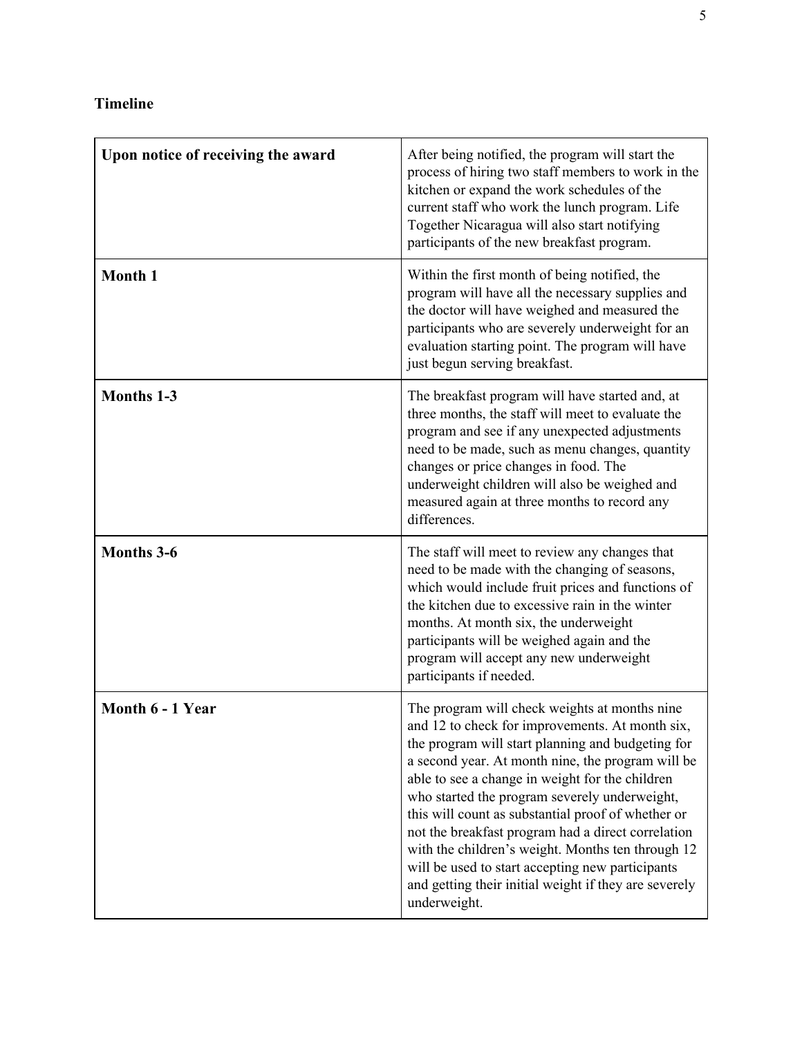# **Timeline**

| Upon notice of receiving the award | After being notified, the program will start the<br>process of hiring two staff members to work in the<br>kitchen or expand the work schedules of the<br>current staff who work the lunch program. Life<br>Together Nicaragua will also start notifying<br>participants of the new breakfast program.                                                                                                                                                                                                                                                                                                        |
|------------------------------------|--------------------------------------------------------------------------------------------------------------------------------------------------------------------------------------------------------------------------------------------------------------------------------------------------------------------------------------------------------------------------------------------------------------------------------------------------------------------------------------------------------------------------------------------------------------------------------------------------------------|
| Month 1                            | Within the first month of being notified, the<br>program will have all the necessary supplies and<br>the doctor will have weighed and measured the<br>participants who are severely underweight for an<br>evaluation starting point. The program will have<br>just begun serving breakfast.                                                                                                                                                                                                                                                                                                                  |
| Months 1-3                         | The breakfast program will have started and, at<br>three months, the staff will meet to evaluate the<br>program and see if any unexpected adjustments<br>need to be made, such as menu changes, quantity<br>changes or price changes in food. The<br>underweight children will also be weighed and<br>measured again at three months to record any<br>differences.                                                                                                                                                                                                                                           |
| <b>Months 3-6</b>                  | The staff will meet to review any changes that<br>need to be made with the changing of seasons,<br>which would include fruit prices and functions of<br>the kitchen due to excessive rain in the winter<br>months. At month six, the underweight<br>participants will be weighed again and the<br>program will accept any new underweight<br>participants if needed.                                                                                                                                                                                                                                         |
| Month 6 - 1 Year                   | The program will check weights at months nine<br>and 12 to check for improvements. At month six,<br>the program will start planning and budgeting for<br>a second year. At month nine, the program will be<br>able to see a change in weight for the children<br>who started the program severely underweight,<br>this will count as substantial proof of whether or<br>not the breakfast program had a direct correlation<br>with the children's weight. Months ten through 12<br>will be used to start accepting new participants<br>and getting their initial weight if they are severely<br>underweight. |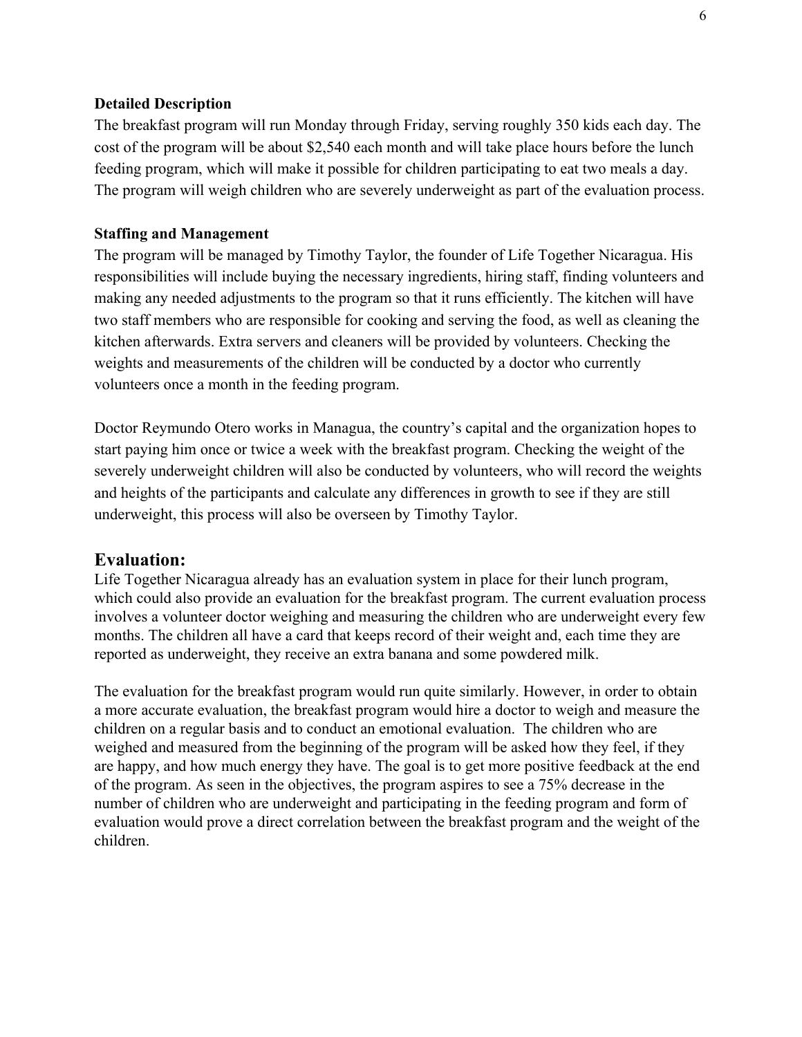#### **Detailed Description**

The breakfast program will run Monday through Friday, serving roughly 350 kids each day. The cost of the program will be about \$2,540 each month and will take place hours before the lunch feeding program, which will make it possible for children participating to eat two meals a day. The program will weigh children who are severely underweight as part of the evaluation process.

#### **Staffing and Management**

The program will be managed by Timothy Taylor, the founder of Life Together Nicaragua. His responsibilities will include buying the necessary ingredients, hiring staff, finding volunteers and making any needed adjustments to the program so that it runs efficiently. The kitchen will have two staff members who are responsible for cooking and serving the food, as well as cleaning the kitchen afterwards. Extra servers and cleaners will be provided by volunteers. Checking the weights and measurements of the children will be conducted by a doctor who currently volunteers once a month in the feeding program.

Doctor Reymundo Otero works in Managua, the country's capital and the organization hopes to start paying him once or twice a week with the breakfast program. Checking the weight of the severely underweight children will also be conducted by volunteers, who will record the weights and heights of the participants and calculate any differences in growth to see if they are still underweight, this process will also be overseen by Timothy Taylor.

#### **Evaluation:**

Life Together Nicaragua already has an evaluation system in place for their lunch program, which could also provide an evaluation for the breakfast program. The current evaluation process involves a volunteer doctor weighing and measuring the children who are underweight every few months. The children all have a card that keeps record of their weight and, each time they are reported as underweight, they receive an extra banana and some powdered milk.

The evaluation for the breakfast program would run quite similarly. However, in order to obtain a more accurate evaluation, the breakfast program would hire a doctor to weigh and measure the children on a regular basis and to conduct an emotional evaluation. The children who are weighed and measured from the beginning of the program will be asked how they feel, if they are happy, and how much energy they have. The goal is to get more positive feedback at the end of the program. As seen in the objectives, the program aspires to see a 75% decrease in the number of children who are underweight and participating in the feeding program and form of evaluation would prove a direct correlation between the breakfast program and the weight of the children.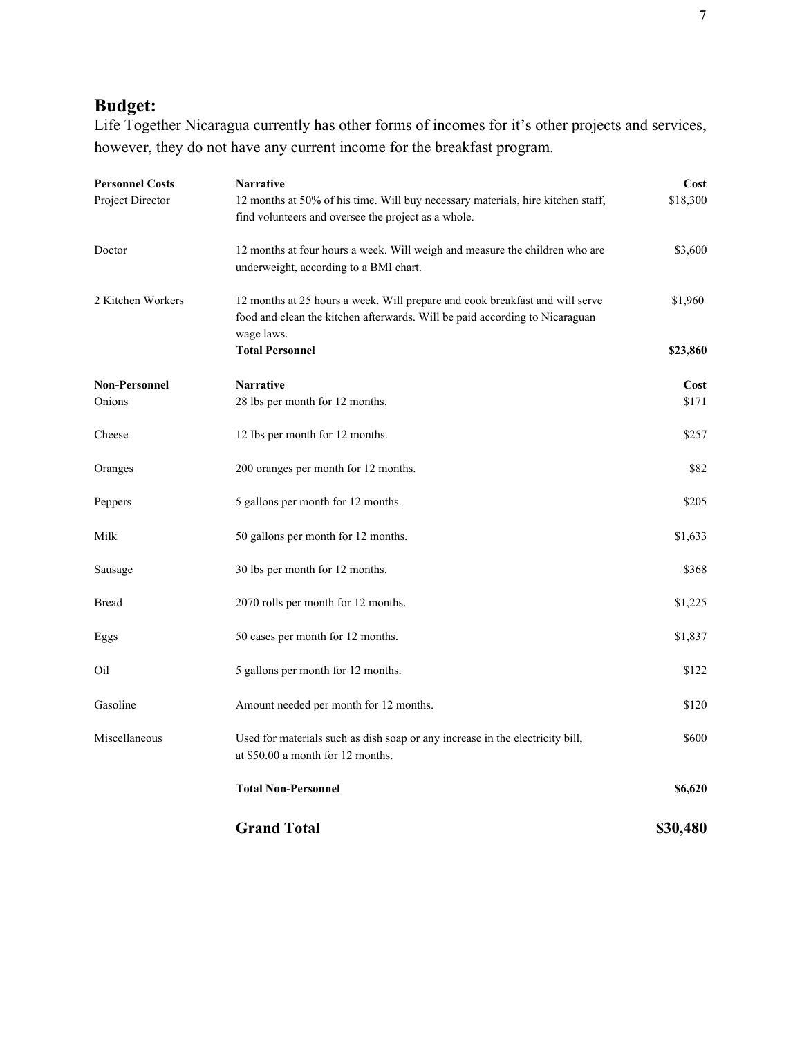# **Budget:**

Life Together Nicaragua currently has other forms of incomes for it's other projects and services, however, they do not have any current income for the breakfast program.

| <b>Personnel Costs</b><br>Project Director | Narrative<br>12 months at 50% of his time. Will buy necessary materials, hire kitchen staff,<br>find volunteers and oversee the project as a whole.                       |          |
|--------------------------------------------|---------------------------------------------------------------------------------------------------------------------------------------------------------------------------|----------|
| Doctor                                     | 12 months at four hours a week. Will weigh and measure the children who are<br>underweight, according to a BMI chart.                                                     | \$3,600  |
| 2 Kitchen Workers                          | 12 months at 25 hours a week. Will prepare and cook breakfast and will serve<br>food and clean the kitchen afterwards. Will be paid according to Nicaraguan<br>wage laws. | \$1,960  |
|                                            | <b>Total Personnel</b>                                                                                                                                                    | \$23,860 |
| <b>Non-Personnel</b>                       | <b>Narrative</b>                                                                                                                                                          | Cost     |
| Onions                                     | 28 lbs per month for 12 months.                                                                                                                                           | \$171    |
| Cheese                                     | 12 Ibs per month for 12 months.                                                                                                                                           | \$257    |
| Oranges                                    | 200 oranges per month for 12 months.                                                                                                                                      | \$82     |
| Peppers                                    | 5 gallons per month for 12 months.                                                                                                                                        | \$205    |
| Milk                                       | 50 gallons per month for 12 months.                                                                                                                                       | \$1,633  |
| Sausage                                    | 30 lbs per month for 12 months.                                                                                                                                           | \$368    |
| <b>Bread</b>                               | 2070 rolls per month for 12 months.                                                                                                                                       | \$1,225  |
| Eggs                                       | 50 cases per month for 12 months.                                                                                                                                         | \$1,837  |
| Oil                                        | 5 gallons per month for 12 months.                                                                                                                                        | \$122    |
| Gasoline                                   | Amount needed per month for 12 months.                                                                                                                                    | \$120    |
| Miscellaneous                              | Used for materials such as dish soap or any increase in the electricity bill,<br>at \$50.00 a month for 12 months.                                                        | \$600    |
|                                            | <b>Total Non-Personnel</b>                                                                                                                                                | \$6,620  |
|                                            | <b>Grand Total</b>                                                                                                                                                        | \$30,480 |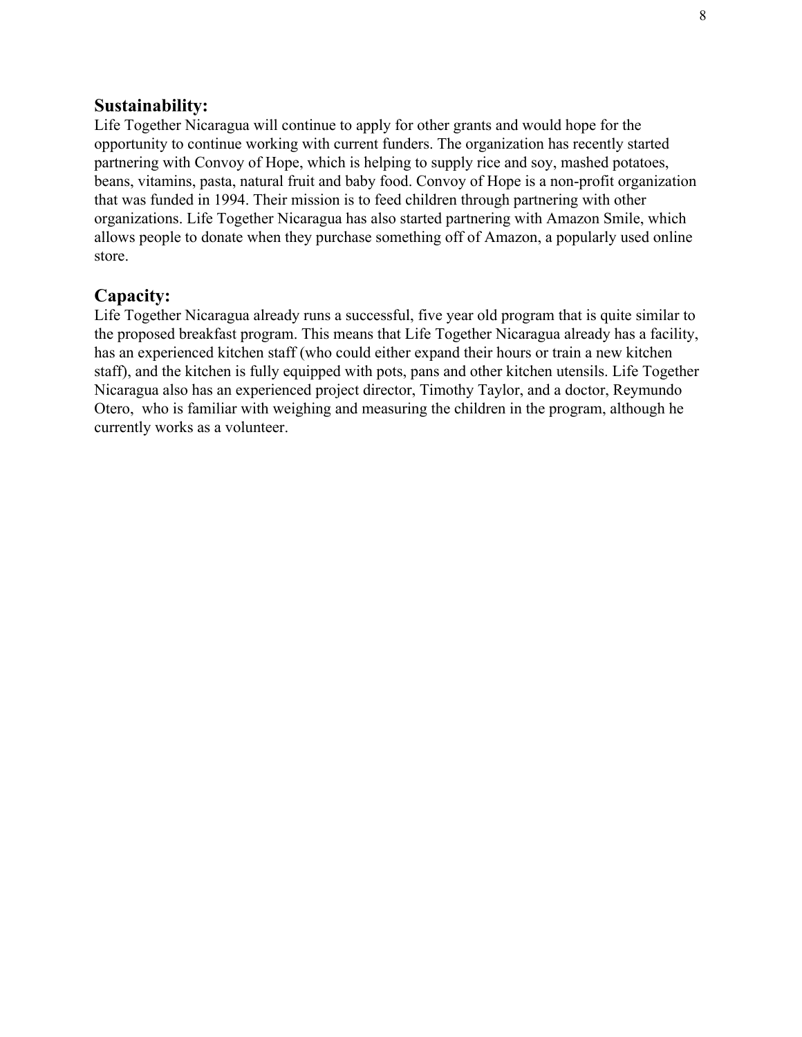### **Sustainability:**

Life Together Nicaragua will continue to apply for other grants and would hope for the opportunity to continue working with current funders. The organization has recently started partnering with Convoy of Hope, which is helping to supply rice and soy, mashed potatoes, beans, vitamins, pasta, natural fruit and baby food. Convoy of Hope is a non-profit organization that was funded in 1994. Their mission is to feed children through partnering with other organizations. Life Together Nicaragua has also started partnering with Amazon Smile, which allows people to donate when they purchase something off of Amazon, a popularly used online store.

### **Capacity:**

Life Together Nicaragua already runs a successful, five year old program that is quite similar to the proposed breakfast program. This means that Life Together Nicaragua already has a facility, has an experienced kitchen staff (who could either expand their hours or train a new kitchen staff), and the kitchen is fully equipped with pots, pans and other kitchen utensils. Life Together Nicaragua also has an experienced project director, Timothy Taylor, and a doctor, Reymundo Otero, who is familiar with weighing and measuring the children in the program, although he currently works as a volunteer.